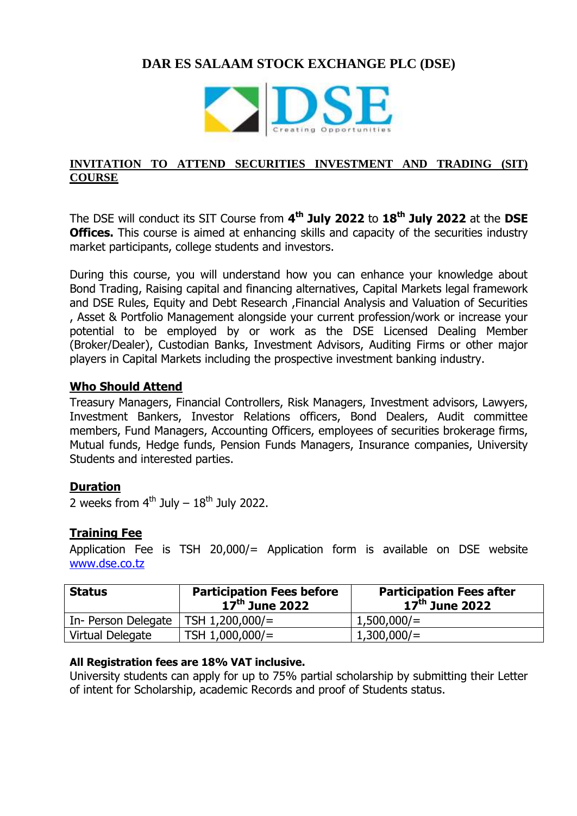# **DAR ES SALAAM STOCK EXCHANGE PLC (DSE)**



#### **INVITATION TO ATTEND SECURITIES INVESTMENT AND TRADING (SIT) COURSE**

The DSE will conduct its SIT Course from **4 th July 2022** to **18 th July 2022** at the **DSE Offices.** This course is aimed at enhancing skills and capacity of the securities industry market participants, college students and investors.

During this course, you will understand how you can enhance your knowledge about Bond Trading, Raising capital and financing alternatives, Capital Markets legal framework and DSE Rules, Equity and Debt Research ,Financial Analysis and Valuation of Securities , Asset & Portfolio Management alongside your current profession/work or increase your potential to be employed by or work as the DSE Licensed Dealing Member (Broker/Dealer), Custodian Banks, Investment Advisors, Auditing Firms or other major players in Capital Markets including the prospective investment banking industry.

#### **Who Should Attend**

Treasury Managers, Financial Controllers, Risk Managers, Investment advisors, Lawyers, Investment Bankers, Investor Relations officers, Bond Dealers, Audit committee members, Fund Managers, Accounting Officers, employees of securities brokerage firms, Mutual funds, Hedge funds, Pension Funds Managers, Insurance companies, University Students and interested parties.

## **Duration**

2 weeks from  $4^{th}$  July  $-18^{th}$  July 2022.

## **Training Fee**

Application Fee is TSH 20,000/= Application form is available on DSE website <www.dse.co.tz>

| <b>Status</b>       | <b>Participation Fees before</b><br>$17th$ June 2022 | <b>Participation Fees after</b><br>$17th$ June 2022 |
|---------------------|------------------------------------------------------|-----------------------------------------------------|
| In- Person Delegate | TSH 1,200,000/=                                      | $1,500,000/$ =                                      |
| Virtual Delegate    | TSH $1,000,000/$ =                                   | 1,300,000/                                          |

#### **All Registration fees are 18% VAT inclusive.**

University students can apply for up to 75% partial scholarship by submitting their Letter of intent for Scholarship, academic Records and proof of Students status.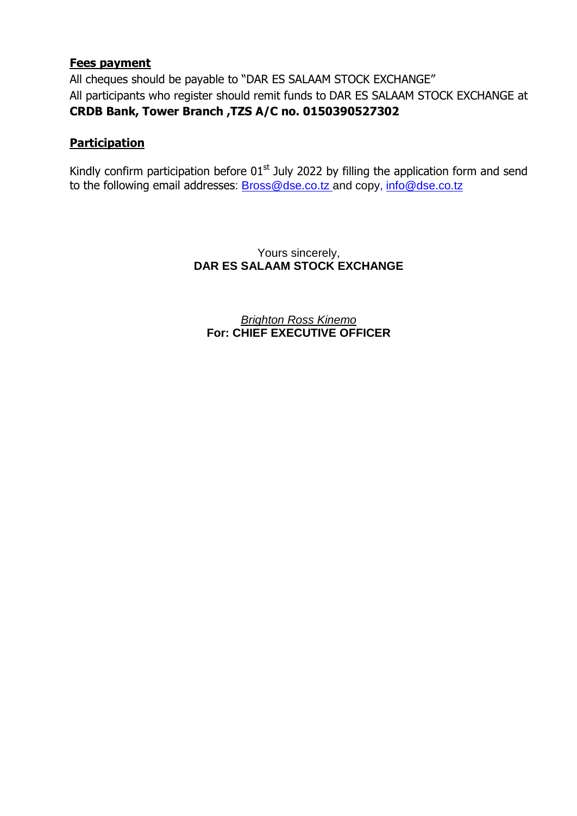## **Fees payment**

All cheques should be payable to "DAR ES SALAAM STOCK EXCHANGE" All participants who register should remit funds to DAR ES SALAAM STOCK EXCHANGE at **CRDB Bank, Tower Branch ,TZS A/C no. 0150390527302**

## **Participation**

Kindly confirm participation before  $01<sup>st</sup>$  July 2022 by filling the application form and send to the following email addresses: [Bross@dse.co.tz](mailto:Bross@dse.co.tz) and copy, [info@dse.co.tz](mailto:info@dse.co.tz)

> Yours sincerely, **DAR ES SALAAM STOCK EXCHANGE**

*Brighton Ross Kinemo* **For: CHIEF EXECUTIVE OFFICER**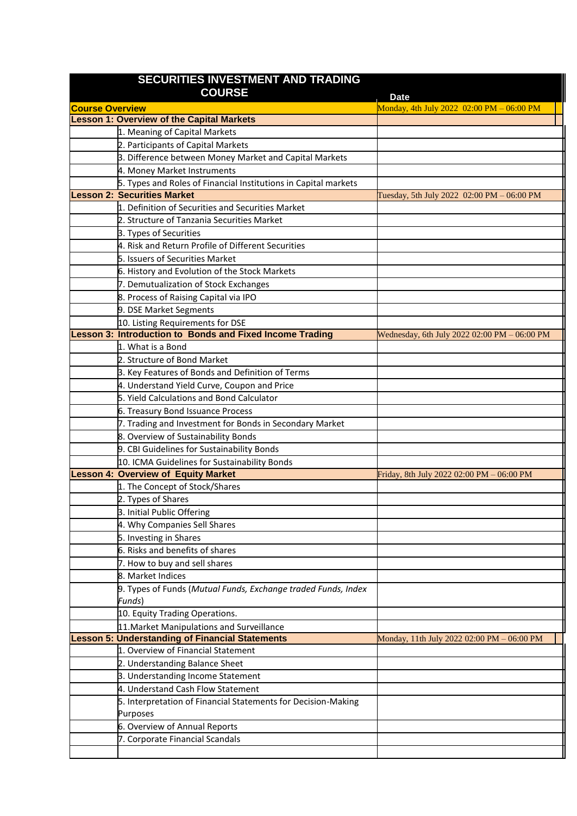| SECURITIES INVESTMENT AND TRADING                      |                                                                                                     |                                              |  |  |
|--------------------------------------------------------|-----------------------------------------------------------------------------------------------------|----------------------------------------------|--|--|
|                                                        | <b>COURSE</b>                                                                                       | <b>Date</b>                                  |  |  |
| <b>Course Overview</b>                                 |                                                                                                     | Monday, 4th July 2022 02:00 PM - 06:00 PM    |  |  |
|                                                        | <b>Lesson 1: Overview of the Capital Markets</b>                                                    |                                              |  |  |
|                                                        | 1. Meaning of Capital Markets                                                                       |                                              |  |  |
|                                                        | 2. Participants of Capital Markets                                                                  |                                              |  |  |
|                                                        | 3. Difference between Money Market and Capital Markets                                              |                                              |  |  |
|                                                        | 4. Money Market Instruments                                                                         |                                              |  |  |
|                                                        | 5. Types and Roles of Financial Institutions in Capital markets                                     |                                              |  |  |
|                                                        | <b>Lesson 2: Securities Market</b>                                                                  | Tuesday, 5th July 2022 02:00 PM - 06:00 PM   |  |  |
|                                                        | 1. Definition of Securities and Securities Market                                                   |                                              |  |  |
|                                                        | 2. Structure of Tanzania Securities Market                                                          |                                              |  |  |
|                                                        | 3. Types of Securities                                                                              |                                              |  |  |
|                                                        | 4. Risk and Return Profile of Different Securities                                                  |                                              |  |  |
|                                                        | 5. Issuers of Securities Market                                                                     |                                              |  |  |
|                                                        | 6. History and Evolution of the Stock Markets                                                       |                                              |  |  |
|                                                        | 7. Demutualization of Stock Exchanges                                                               |                                              |  |  |
|                                                        | 8. Process of Raising Capital via IPO                                                               |                                              |  |  |
|                                                        | 9. DSE Market Segments                                                                              |                                              |  |  |
|                                                        | 10. Listing Requirements for DSE<br><b>Lesson 3: Introduction to Bonds and Fixed Income Trading</b> |                                              |  |  |
|                                                        | 1. What is a Bond                                                                                   | Wednesday, 6th July 2022 02:00 PM - 06:00 PM |  |  |
|                                                        | 2. Structure of Bond Market                                                                         |                                              |  |  |
|                                                        | 3. Key Features of Bonds and Definition of Terms                                                    |                                              |  |  |
|                                                        | 4. Understand Yield Curve, Coupon and Price                                                         |                                              |  |  |
|                                                        | 5. Yield Calculations and Bond Calculator                                                           |                                              |  |  |
|                                                        | 6. Treasury Bond Issuance Process                                                                   |                                              |  |  |
|                                                        | 7. Trading and Investment for Bonds in Secondary Market                                             |                                              |  |  |
|                                                        | 8. Overview of Sustainability Bonds                                                                 |                                              |  |  |
|                                                        | 9. CBI Guidelines for Sustainability Bonds                                                          |                                              |  |  |
|                                                        | 10. ICMA Guidelines for Sustainability Bonds                                                        |                                              |  |  |
|                                                        | <b>Lesson 4: Overview of Equity Market</b>                                                          | Friday, 8th July 2022 02:00 PM - 06:00 PM    |  |  |
|                                                        | 1. The Concept of Stock/Shares                                                                      |                                              |  |  |
|                                                        | 2. Types of Shares                                                                                  |                                              |  |  |
|                                                        | 3. Initial Public Offering                                                                          |                                              |  |  |
|                                                        | 4. Why Companies Sell Shares                                                                        |                                              |  |  |
|                                                        | 5. Investing in Shares                                                                              |                                              |  |  |
|                                                        | 6. Risks and benefits of shares                                                                     |                                              |  |  |
|                                                        | 7. How to buy and sell shares                                                                       |                                              |  |  |
|                                                        | 8. Market Indices                                                                                   |                                              |  |  |
|                                                        | 9. Types of Funds (Mutual Funds, Exchange traded Funds, Index                                       |                                              |  |  |
|                                                        | Funds)                                                                                              |                                              |  |  |
|                                                        | 10. Equity Trading Operations.                                                                      |                                              |  |  |
|                                                        | 11. Market Manipulations and Surveillance                                                           |                                              |  |  |
| <b>Lesson 5: Understanding of Financial Statements</b> |                                                                                                     | Monday, 11th July 2022 02:00 PM – 06:00 PM   |  |  |
|                                                        | 1. Overview of Financial Statement                                                                  |                                              |  |  |
|                                                        | 2. Understanding Balance Sheet                                                                      |                                              |  |  |
|                                                        | 3. Understanding Income Statement                                                                   |                                              |  |  |
|                                                        | 4. Understand Cash Flow Statement                                                                   |                                              |  |  |
|                                                        | 5. Interpretation of Financial Statements for Decision-Making                                       |                                              |  |  |
|                                                        | Purposes                                                                                            |                                              |  |  |
|                                                        | 6. Overview of Annual Reports                                                                       |                                              |  |  |
|                                                        | 7. Corporate Financial Scandals                                                                     |                                              |  |  |
|                                                        |                                                                                                     |                                              |  |  |